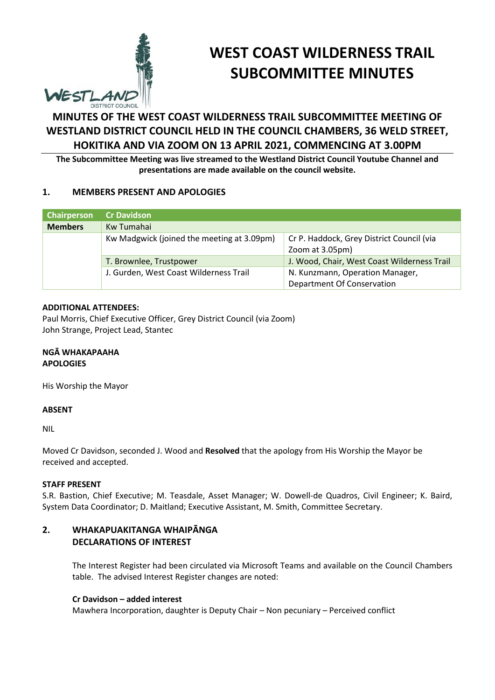

# **WEST COAST WILDERNESS TRAIL SUBCOMMITTEE MINUTES**

## **MINUTES OF THE WEST COAST WILDERNESS TRAIL SUBCOMMITTEE MEETING OF WESTLAND DISTRICT COUNCIL HELD IN THE COUNCIL CHAMBERS, 36 WELD STREET, HOKITIKA AND VIA ZOOM ON 13 APRIL 2021, COMMENCING AT 3.00PM**

**The Subcommittee Meeting was live streamed to the Westland District Council Youtube Channel and presentations are made available on the council website.**

#### **1. MEMBERS PRESENT AND APOLOGIES**

| Chairperson    | <b>Cr Davidson</b>                         |                                             |
|----------------|--------------------------------------------|---------------------------------------------|
| <b>Members</b> | Kw Tumahai                                 |                                             |
|                | Kw Madgwick (joined the meeting at 3.09pm) | Cr P. Haddock, Grey District Council (via   |
|                |                                            | Zoom at 3.05pm)                             |
|                | T. Brownlee, Trustpower                    | J. Wood, Chair, West Coast Wilderness Trail |
|                | J. Gurden, West Coast Wilderness Trail     | N. Kunzmann, Operation Manager,             |
|                |                                            | Department Of Conservation                  |

#### **ADDITIONAL ATTENDEES:**

Paul Morris, Chief Executive Officer, Grey District Council (via Zoom) John Strange, Project Lead, Stantec

**NGĀ WHAKAPAAHA APOLOGIES** 

His Worship the Mayor

#### **ABSENT**

NIL

Moved Cr Davidson, seconded J. Wood and **Resolved** that the apology from His Worship the Mayor be received and accepted.

#### **STAFF PRESENT**

S.R. Bastion, Chief Executive; M. Teasdale, Asset Manager; W. Dowell-de Quadros, Civil Engineer; K. Baird, System Data Coordinator; D. Maitland; Executive Assistant, M. Smith, Committee Secretary.

#### **2. WHAKAPUAKITANGA WHAIPĀNGA DECLARATIONS OF INTEREST**

The Interest Register had been circulated via Microsoft Teams and available on the Council Chambers table. The advised Interest Register changes are noted:

#### **Cr Davidson – added interest**

Mawhera Incorporation, daughter is Deputy Chair – Non pecuniary – Perceived conflict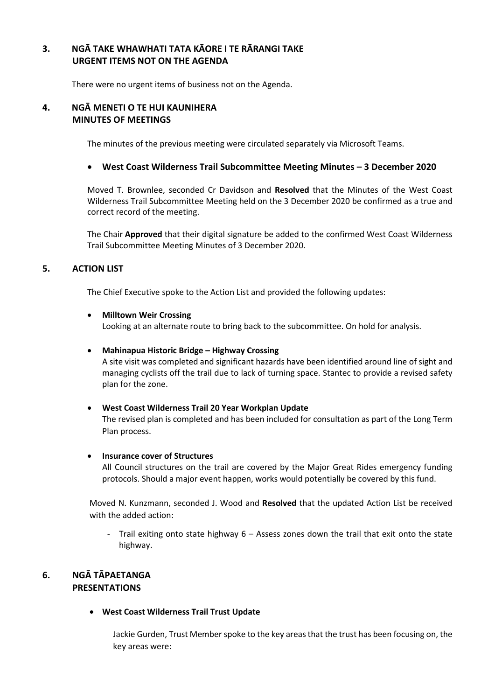#### **3. NGĀ TAKE WHAWHATI TATA KĀORE I TE RĀRANGI TAKE URGENT ITEMS NOT ON THE AGENDA**

There were no urgent items of business not on the Agenda.

#### **4. NGĀ MENETI O TE HUI KAUNIHERA MINUTES OF MEETINGS**

The minutes of the previous meeting were circulated separately via Microsoft Teams.

#### **West Coast Wilderness Trail Subcommittee Meeting Minutes – 3 December 2020**

Moved T. Brownlee, seconded Cr Davidson and **Resolved** that the Minutes of the West Coast Wilderness Trail Subcommittee Meeting held on the 3 December 2020 be confirmed as a true and correct record of the meeting.

The Chair **Approved** that their digital signature be added to the confirmed West Coast Wilderness Trail Subcommittee Meeting Minutes of 3 December 2020.

#### **5. ACTION LIST**

The Chief Executive spoke to the Action List and provided the following updates:

#### **•** Milltown Weir Crossing

Looking at an alternate route to bring back to the subcommittee. On hold for analysis.

#### **Mahinapua Historic Bridge – Highway Crossing**

A site visit was completed and significant hazards have been identified around line of sight and managing cyclists off the trail due to lack of turning space. Stantec to provide a revised safety plan for the zone.

## **West Coast Wilderness Trail 20 Year Workplan Update**

The revised plan is completed and has been included for consultation as part of the Long Term Plan process.

#### **Insurance cover of Structures**

All Council structures on the trail are covered by the Major Great Rides emergency funding protocols. Should a major event happen, works would potentially be covered by this fund.

Moved N. Kunzmann, seconded J. Wood and **Resolved** that the updated Action List be received with the added action:

- Trail exiting onto state highway 6 – Assess zones down the trail that exit onto the state highway.

### **6. NGĀ TĀPAETANGA PRESENTATIONS**

**West Coast Wilderness Trail Trust Update**

Jackie Gurden, Trust Member spoke to the key areasthat the trust has been focusing on, the key areas were: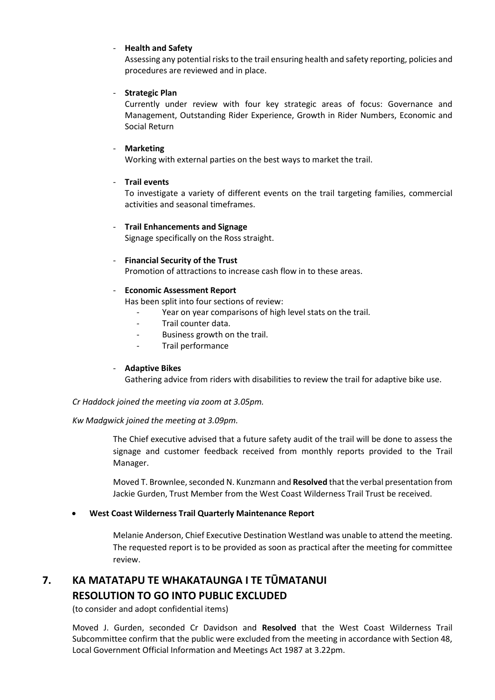#### - **Health and Safety**

Assessing any potential risks to the trail ensuring health and safety reporting, policies and procedures are reviewed and in place.

#### - **Strategic Plan**

Currently under review with four key strategic areas of focus: Governance and Management, Outstanding Rider Experience, Growth in Rider Numbers, Economic and Social Return

#### - **Marketing**

Working with external parties on the best ways to market the trail.

#### - **Trail events**

To investigate a variety of different events on the trail targeting families, commercial activities and seasonal timeframes.

#### - **Trail Enhancements and Signage**

Signage specifically on the Ross straight.

#### - **Financial Security of the Trust**

Promotion of attractions to increase cash flow in to these areas.

#### - **Economic Assessment Report**

Has been split into four sections of review:

- Year on year comparisons of high level stats on the trail.
- Trail counter data.
- Business growth on the trail.
- Trail performance

#### - **Adaptive Bikes**

Gathering advice from riders with disabilities to review the trail for adaptive bike use.

#### *Cr Haddock joined the meeting via zoom at 3.05pm.*

#### *Kw Madgwick joined the meeting at 3.09pm.*

The Chief executive advised that a future safety audit of the trail will be done to assess the signage and customer feedback received from monthly reports provided to the Trail Manager.

Moved T. Brownlee, seconded N. Kunzmann and **Resolved** that the verbal presentation from Jackie Gurden, Trust Member from the West Coast Wilderness Trail Trust be received.

#### **West Coast Wilderness Trail Quarterly Maintenance Report**

Melanie Anderson, Chief Executive Destination Westland was unable to attend the meeting. The requested report is to be provided as soon as practical after the meeting for committee review.

## **7. KA MATATAPU TE WHAKATAUNGA I TE TŪMATANUI RESOLUTION TO GO INTO PUBLIC EXCLUDED**

(to consider and adopt confidential items)

 Moved J. Gurden, seconded Cr Davidson and **Resolved** that the West Coast Wilderness Trail Subcommittee confirm that the public were excluded from the meeting in accordance with Section 48, Local Government Official Information and Meetings Act 1987 at 3.22pm.